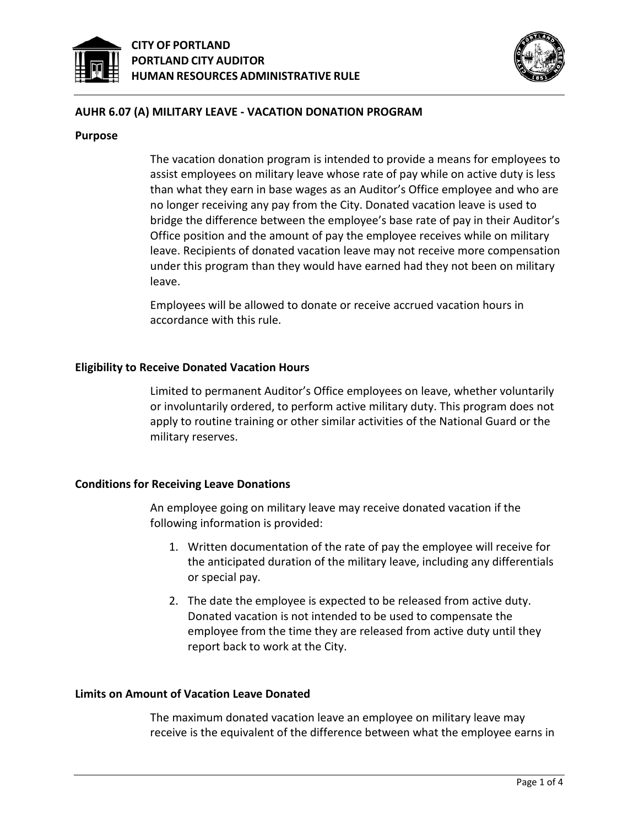



## **AUHR 6.07 (A) MILITARY LEAVE - VACATION DONATION PROGRAM**

#### **Purpose**

The vacation donation program is intended to provide a means for employees to assist employees on military leave whose rate of pay while on active duty is less than what they earn in base wages as an Auditor's Office employee and who are no longer receiving any pay from the City. Donated vacation leave is used to bridge the difference between the employee's base rate of pay in their Auditor's Office position and the amount of pay the employee receives while on military leave. Recipients of donated vacation leave may not receive more compensation under this program than they would have earned had they not been on military leave.

Employees will be allowed to donate or receive accrued vacation hours in accordance with this rule.

### **Eligibility to Receive Donated Vacation Hours**

Limited to permanent Auditor's Office employees on leave, whether voluntarily or involuntarily ordered, to perform active military duty. This program does not apply to routine training or other similar activities of the National Guard or the military reserves.

### **Conditions for Receiving Leave Donations**

An employee going on military leave may receive donated vacation if the following information is provided:

- 1. Written documentation of the rate of pay the employee will receive for the anticipated duration of the military leave, including any differentials or special pay.
- 2. The date the employee is expected to be released from active duty. Donated vacation is not intended to be used to compensate the employee from the time they are released from active duty until they report back to work at the City.

### **Limits on Amount of Vacation Leave Donated**

The maximum donated vacation leave an employee on military leave may receive is the equivalent of the difference between what the employee earns in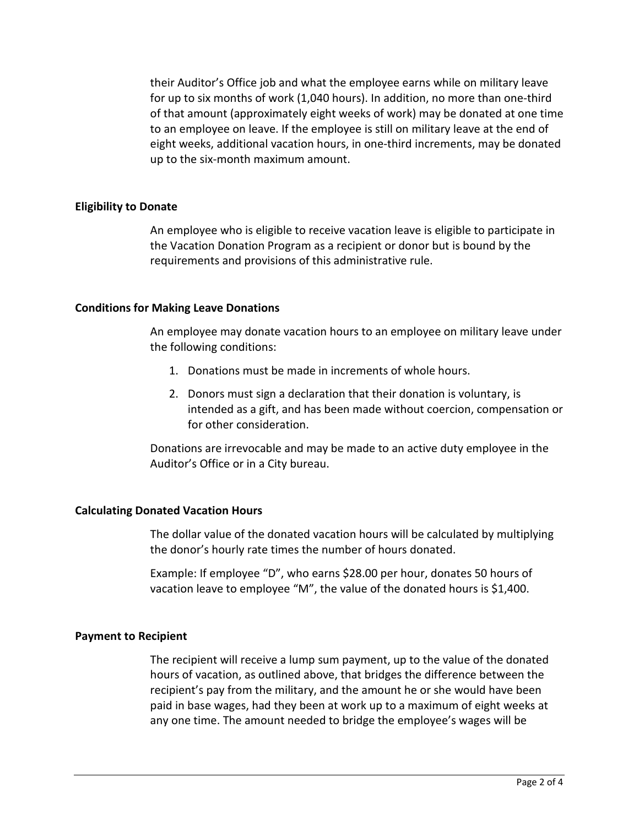their Auditor's Office job and what the employee earns while on military leave for up to six months of work (1,040 hours). In addition, no more than one-third of that amount (approximately eight weeks of work) may be donated at one time to an employee on leave. If the employee is still on military leave at the end of eight weeks, additional vacation hours, in one-third increments, may be donated up to the six-month maximum amount.

## **Eligibility to Donate**

An employee who is eligible to receive vacation leave is eligible to participate in the Vacation Donation Program as a recipient or donor but is bound by the requirements and provisions of this administrative rule.

## **Conditions for Making Leave Donations**

An employee may donate vacation hours to an employee on military leave under the following conditions:

- 1. Donations must be made in increments of whole hours.
- 2. Donors must sign a declaration that their donation is voluntary, is intended as a gift, and has been made without coercion, compensation or for other consideration.

Donations are irrevocable and may be made to an active duty employee in the Auditor's Office or in a City bureau.

# **Calculating Donated Vacation Hours**

The dollar value of the donated vacation hours will be calculated by multiplying the donor's hourly rate times the number of hours donated.

Example: If employee "D", who earns \$28.00 per hour, donates 50 hours of vacation leave to employee "M", the value of the donated hours is \$1,400.

# **Payment to Recipient**

The recipient will receive a lump sum payment, up to the value of the donated hours of vacation, as outlined above, that bridges the difference between the recipient's pay from the military, and the amount he or she would have been paid in base wages, had they been at work up to a maximum of eight weeks at any one time. The amount needed to bridge the employee's wages will be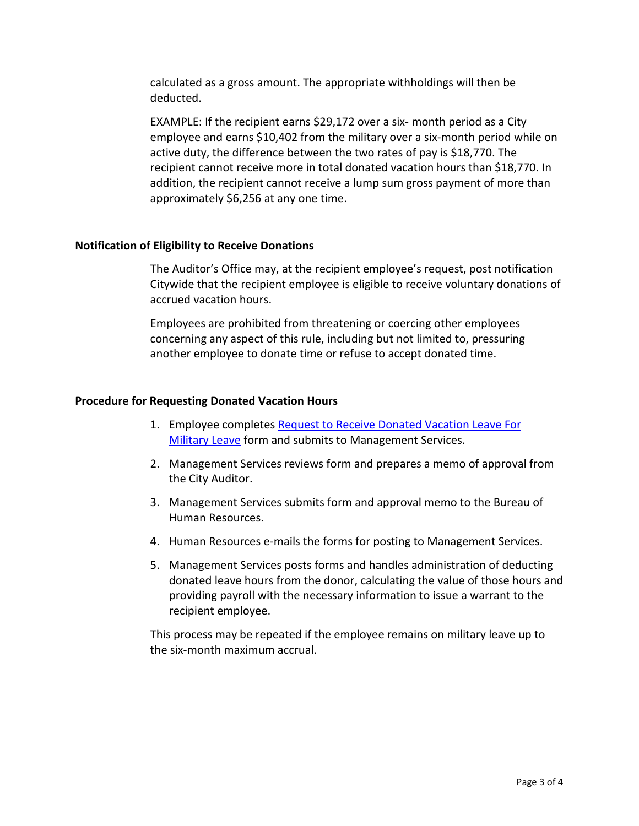calculated as a gross amount. The appropriate withholdings will then be deducted.

EXAMPLE: If the recipient earns \$29,172 over a six- month period as a City employee and earns \$10,402 from the military over a six-month period while on active duty, the difference between the two rates of pay is \$18,770. The recipient cannot receive more in total donated vacation hours than \$18,770. In addition, the recipient cannot receive a lump sum gross payment of more than approximately \$6,256 at any one time.

## **Notification of Eligibility to Receive Donations**

The Auditor's Office may, at the recipient employee's request, post notification Citywide that the recipient employee is eligible to receive voluntary donations of accrued vacation hours.

Employees are prohibited from threatening or coercing other employees concerning any aspect of this rule, including but not limited to, pressuring another employee to donate time or refuse to accept donated time.

## **Procedure for Requesting Donated Vacation Hours**

- 1. Employee completes Request to Receive Donated Vacation Leave For **[Military Leave](http://www.portlandonline.com/omf/index.cfm?c=30809&a=328138) form and submits to Management Services.**
- 2. Management Services reviews form and prepares a memo of approval from the City Auditor.
- 3. Management Services submits form and approval memo to the Bureau of Human Resources.
- 4. Human Resources e-mails the forms for posting to Management Services.
- 5. Management Services posts forms and handles administration of deducting donated leave hours from the donor, calculating the value of those hours and providing payroll with the necessary information to issue a warrant to the recipient employee.

This process may be repeated if the employee remains on military leave up to the six-month maximum accrual.